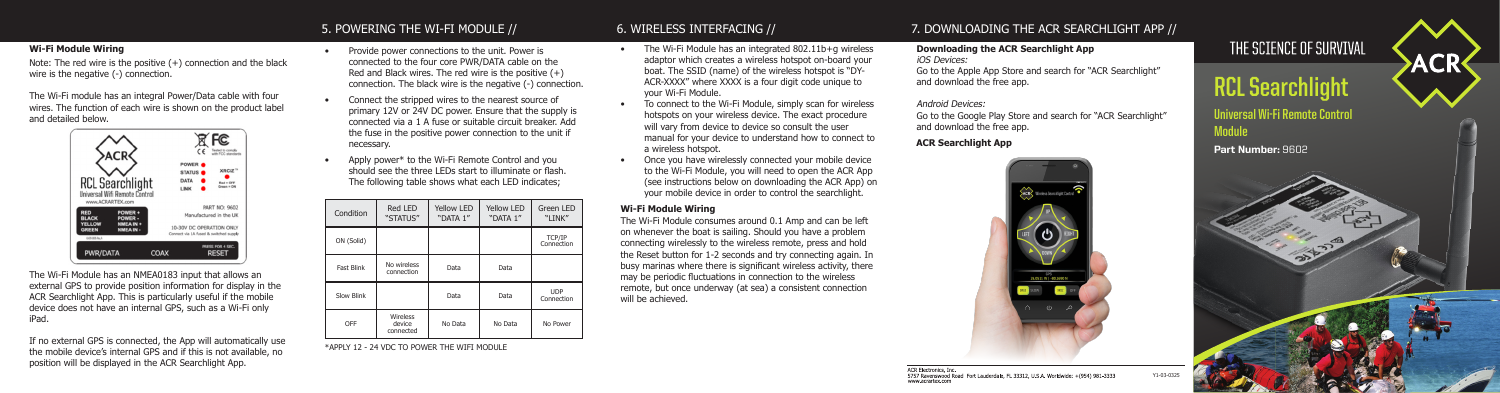### **Universal Wi-Fi Remote Control Module**

Part Number: 9602



# **RCL Searchlight**

### 7. DOWNLOADING THE ACR SEARCHLIGHT APP //

Y1-03-0325

## THE SCIENCE OF SURVIVAL

### 6. WIRELESS INTERFACING //

- The Wi-Fi Module has an integrated 802.11b+g wireless adaptor which creates a wireless hotspot on-board your boat. The SSID (name) of the wireless hotspot is "DY-ACR-XXXX" where XXXX is a four digit code unique to your Wi-Fi Module.
- To connect to the Wi-Fi Module, simply scan for wireless hotspots on your wireless device. The exact procedure will vary from device to device so consult the user manual for your device to understand how to connect to a wireless hotspot.
- Once you have wirelessly connected your mobile device to the Wi-Fi Module, you will need to open the ACR App (see instructions below on downloading the ACR App) on your mobile device in order to control the searchlight.

The Wi-Fi Module consumes around 0.1 Amp and can be left on whenever the boat is sailing. Should you have a problem connecting wirelessly to the wireless remote, press and hold the Reset button for 1-2 seconds and try connecting again. In busy marinas where there is significant wireless activity, there may be periodic fluctuations in connection to the wireless remote, but once underway (at sea) a consistent connection will be achieved.

#### **Wi-Fi Module Wiring**

### **Downloading the ACR Searchlight App**

iOS Devices:

Go to the Apple App Store and search for "ACR Searchlight" and download the free app.

#### Android Devices:

Go to the Google Play Store and search for "ACR Searchlight" and download the free app.

### **ACR Searchlight App**



### 5. POWERING THE WI-FI MODULE //

- Provide power connections to the unit. Power is connected to the four core PWR/DATA cable on the Red and Black wires. The red wire is the positive  $(+)$ connection. The black wire is the negative (-) connection.
- Connect the stripped wires to the nearest source of primary 12V or 24V DC power. Ensure that the supply is connected via a 1 A fuse or suitable circuit breaker. Add the fuse in the positive power connection to the unit if necessary.
- Apply power\* to the Wi-Fi Remote Control and you should see the three LEDs start to illuminate or flash. The following table shows what each LED indicates;

| Condition         | Red LED<br>"STATUS"                    | <b>Yellow LED</b><br>"DATA 1" | <b>Yellow LED</b><br>"DATA 1" | Green LED<br>"LINK"      |
|-------------------|----------------------------------------|-------------------------------|-------------------------------|--------------------------|
| ON (Solid)        |                                        |                               |                               | TCP/IP<br>Connection     |
| <b>Fast Blink</b> | No wireless<br>connection              | Data                          | Data                          |                          |
| Slow Blink        |                                        | Data                          | Data                          | <b>UDP</b><br>Connection |
| OFF               | <b>Wireless</b><br>device<br>connected | No Data                       | No Data                       | No Power                 |

\*APPLY 12 - 24 VDC TO POWER THE WIFI MODULE

### **Wi-Fi Module Wiring**

Note: The red wire is the positive (+) connection and the black wire is the negative (-) connection.

The Wi-Fi module has an integral Power/Data cable with four wires. The function of each wire is shown on the product label and detailed below.



The Wi-Fi Module has an NMEA0183 input that allows an external GPS to provide position information for display in the ACR Searchlight App. This is particularly useful if the mobile device does not have an internal GPS, such as a Wi-Fi only iPad.

If no external GPS is connected, the App will automatically use the mobile device's internal GPS and if this is not available, no position will be displayed in the ACR Searchlight App.